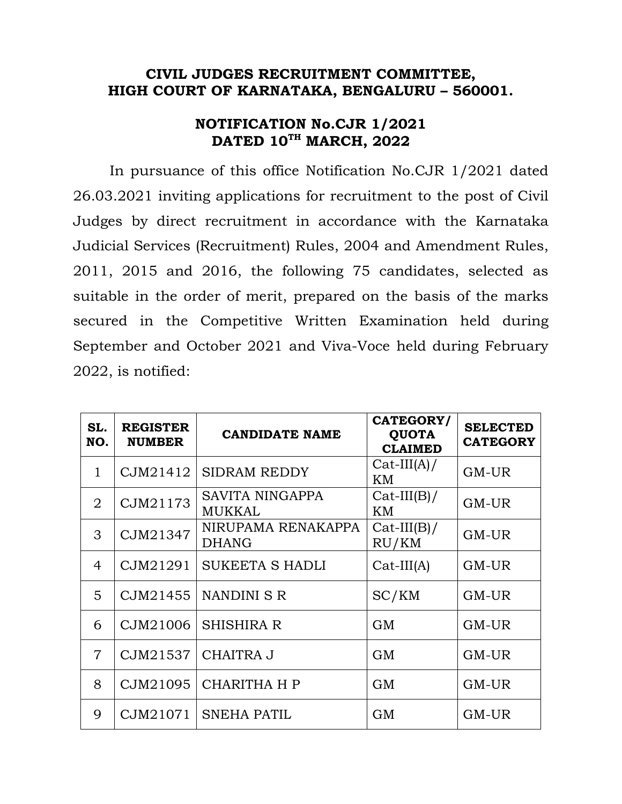## **CIVIL JUDGES RECRUITMENT COMMITTEE, HIGH COURT OF KARNATAKA, BENGALURU – 560001.**

## **NOTIFICATION No.CJR 1/2021 DATED 10TH MARCH, 2022**

 In pursuance of this office Notification No.CJR 1/2021 dated 26.03.2021 inviting applications for recruitment to the post of Civil Judges by direct recruitment in accordance with the Karnataka Judicial Services (Recruitment) Rules, 2004 and Amendment Rules, 2011, 2015 and 2016, the following 75 candidates, selected as suitable in the order of merit, prepared on the basis of the marks secured in the Competitive Written Examination held during September and October 2021 and Viva-Voce held during February 2022, is notified:

| SL.<br>NO.     | <b>REGISTER</b><br><b>NUMBER</b> | <b>CANDIDATE NAME</b>              | CATEGORY/<br><b>QUOTA</b><br><b>CLAIMED</b> | <b>SELECTED</b><br><b>CATEGORY</b> |
|----------------|----------------------------------|------------------------------------|---------------------------------------------|------------------------------------|
| $\mathbf{1}$   | CJM21412                         | <b>SIDRAM REDDY</b>                | $Cat-III(A)/$<br>ΚM                         | $GM$ -UR                           |
| $\overline{2}$ | CJM21173                         | <b>SAVITA NINGAPPA</b><br>MUKKAL   | $Cat-III(B)/$<br>KM                         | GM-UR                              |
| $\mathcal{S}$  | CJM21347                         | NIRUPAMA RENAKAPPA<br><b>DHANG</b> | $Cat-III(B)/$<br>RU/KM                      | $GM$ -UR                           |
| 4              | CJM21291                         | <b>SUKEETA S HADLI</b>             | $Cat-III(A)$                                | GM-UR                              |
| 5              | CJM21455                         | NANDINI S R                        | SC/KM                                       | GM-UR                              |
| 6              | CJM21006                         | <b>SHISHIRA R</b>                  | <b>GM</b>                                   | $GM$ -UR                           |
| $\overline{7}$ | CJM21537                         | <b>CHAITRA J</b>                   | <b>GM</b>                                   | GM-UR                              |
| 8              | CJM21095                         | <b>CHARITHA H P</b>                | <b>GM</b>                                   | GM-UR                              |
| 9              | CJM21071                         | <b>SNEHA PATIL</b>                 | <b>GM</b>                                   | GM-UR                              |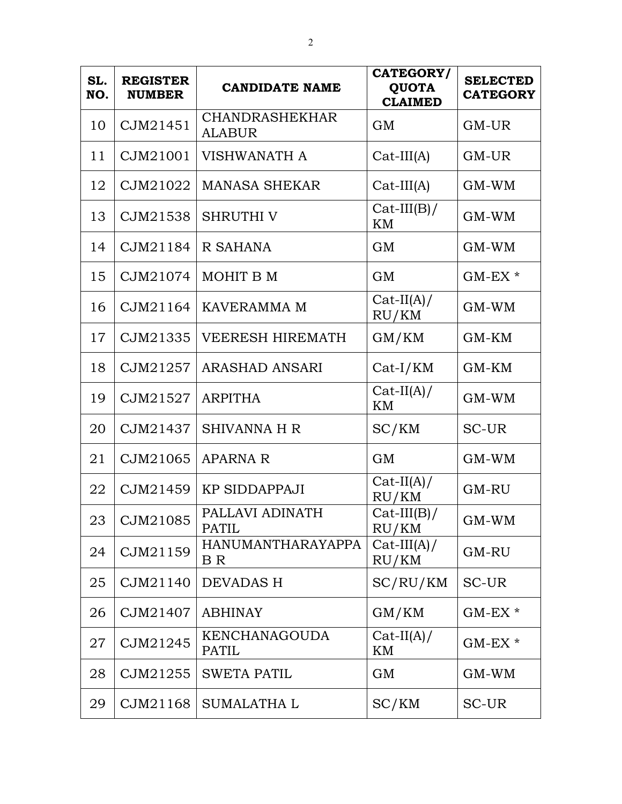| SL.<br>NO. | <b>REGISTER</b><br><b>NUMBER</b> | <b>CANDIDATE NAME</b>                  | CATEGORY/<br><b>QUOTA</b><br><b>CLAIMED</b> | <b>SELECTED</b><br><b>CATEGORY</b> |
|------------|----------------------------------|----------------------------------------|---------------------------------------------|------------------------------------|
| 10         | CJM21451                         | <b>CHANDRASHEKHAR</b><br><b>ALABUR</b> | <b>GM</b>                                   | GM-UR                              |
| 11         | CJM21001                         | <b>VISHWANATH A</b>                    | $Cat-III(A)$                                | GM-UR                              |
| 12         | CJM21022                         | <b>MANASA SHEKAR</b>                   | $Cat-III(A)$                                | GM-WM                              |
| 13         | CJM21538                         | <b>SHRUTHI V</b>                       | $Cat-III(B)/$<br>KM                         | GM-WM                              |
| 14         | CJM21184                         | R SAHANA                               | <b>GM</b>                                   | GM-WM                              |
| 15         | CJM21074                         | MOHIT B M                              | <b>GM</b>                                   | $GM$ -EX $*$                       |
| 16         | CJM21164                         | <b>KAVERAMMA M</b>                     | $Cat-II(A)/$<br>RU/KM                       | GM-WM                              |
| 17         | CJM21335                         | <b>VEERESH HIREMATH</b>                | GM/KM                                       | GM-KM                              |
| 18         | CJM21257                         | <b>ARASHAD ANSARI</b>                  | $Cat-I/KM$                                  | GM-KM                              |
| 19         | CJM21527                         | <b>ARPITHA</b>                         | $Cat-II(A)/$<br>KM                          | GM-WM                              |
| 20         | CJM21437                         | <b>SHIVANNA H R</b>                    | SC/KM                                       | SC-UR                              |
| 21         | CJM21065                         | <b>APARNA R</b>                        | <b>GM</b>                                   | GM-WM                              |
| 22         | CJM21459                         | <b>KP SIDDAPPAJI</b>                   | $Cat-II(A)/$<br>RU/KM                       | GM-RU                              |
| 23         | CJM21085                         | PALLAVI ADINATH<br><b>PATIL</b>        | $Cat-III(B)/$<br>RU/KM                      | $GM-WM$                            |
| 24         | CJM21159                         | <b>HANUMANTHARAYAPPA</b><br>B R        | $Cat-III(A)/$<br>RU/KM                      | GM-RU                              |
| 25         | CJM21140                         | <b>DEVADAS H</b>                       | SC/RU/KM                                    | <b>SC-UR</b>                       |
| 26         | CJM21407                         | <b>ABHINAY</b>                         | GM/KM                                       | $GM$ -EX $*$                       |
| 27         | CJM21245                         | <b>KENCHANAGOUDA</b><br><b>PATIL</b>   | $Cat-II(A)/$<br>ΚM                          | $GM$ -EX $*$                       |
| 28         | CJM21255                         | <b>SWETA PATIL</b>                     | GM                                          | GM-WM                              |
| 29         | CJM21168                         | SUMALATHA L                            | SC/KM                                       | SC-UR                              |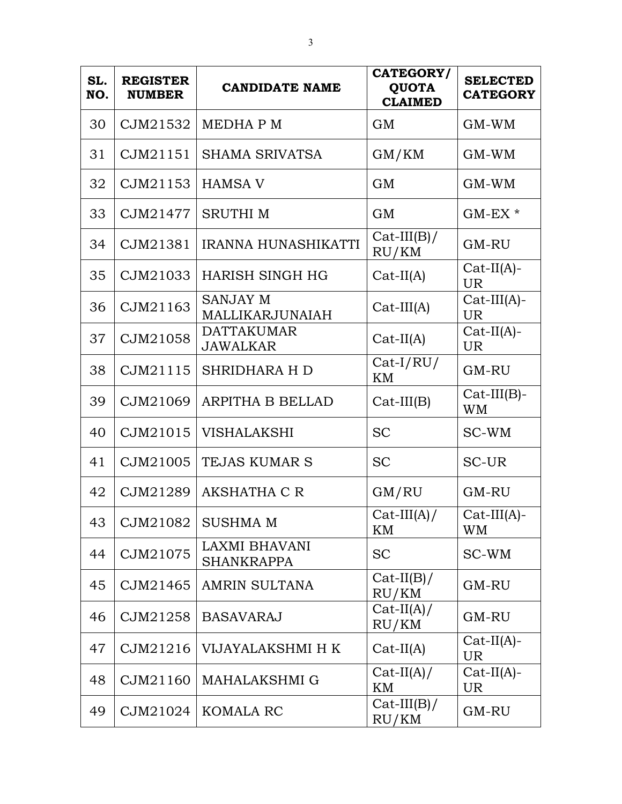| SL.<br>NO. | <b>REGISTER</b><br><b>NUMBER</b> | <b>CANDIDATE NAME</b>                | CATEGORY/<br><b>QUOTA</b><br><b>CLAIMED</b> | <b>SELECTED</b><br><b>CATEGORY</b> |
|------------|----------------------------------|--------------------------------------|---------------------------------------------|------------------------------------|
| 30         | CJM21532                         | <b>MEDHAPM</b>                       | GM                                          | $GM-WM$                            |
| 31         | CJM21151                         | SHAMA SRIVATSA                       | GM/KM                                       | GM-WM                              |
| 32         | CJM21153                         | <b>HAMSA V</b>                       | <b>GM</b>                                   | $GM-WM$                            |
| 33         | CJM21477                         | <b>SRUTHIM</b>                       | <b>GM</b>                                   | $GM$ -EX $*$                       |
| 34         | CJM21381                         | <b>IRANNA HUNASHIKATTI</b>           | $Cat-III(B)/$<br>RU/KM                      | GM-RU                              |
| 35         | CJM21033                         | <b>HARISH SINGH HG</b>               | $Cat-II(A)$                                 | $Cat-II(A)$ -<br><b>UR</b>         |
| 36         | CJM21163                         | <b>SANJAY M</b><br>MALLIKARJUNAIAH   | $Cat-III(A)$                                | $Cat-III(A)$ -<br><b>UR</b>        |
| 37         | CJM21058                         | <b>DATTAKUMAR</b><br><b>JAWALKAR</b> | $Cat-II(A)$                                 | $Cat-II(A)$ -<br><b>UR</b>         |
| 38         | CJM21115                         | <b>SHRIDHARA H D</b>                 | $Cat-I/RU/$<br>KM                           | GM-RU                              |
| 39         | CJM21069                         | <b>ARPITHA B BELLAD</b>              | $Cat-III(B)$                                | $Cat-III(B)$ -<br><b>WM</b>        |
| 40         | CJM21015                         | <b>VISHALAKSHI</b>                   | <b>SC</b>                                   | SC-WM                              |
| 41         | CJM21005                         | <b>TEJAS KUMAR S</b>                 | <b>SC</b>                                   | <b>SC-UR</b>                       |
| 42         | CJM21289                         | <b>AKSHATHA C R</b>                  | GM/RU                                       | GM-RU                              |
| 43         |                                  | $ $ CJM21082 $ $ SUSHMA M            | $Cat-III(A)/$<br>ΚM                         | $Cat-III(A)$ -<br><b>WM</b>        |
| 44         | CJM21075                         | LAXMI BHAVANI<br><b>SHANKRAPPA</b>   | <b>SC</b>                                   | SC-WM                              |
| 45         | CJM21465                         | <b>AMRIN SULTANA</b>                 | $Cat-II(B)/$<br>RU/KM                       | GM-RU                              |
| 46         | CJM21258                         | <b>BASAVARAJ</b>                     | $Cat-II(A)/$<br>RU/KM                       | GM-RU                              |
| 47         | CJM21216                         | VIJAYALAKSHMI H K                    | $Cat-II(A)$                                 | $Cat-II(A)$ -<br><b>UR</b>         |
| 48         | CJM21160                         | <b>MAHALAKSHMI G</b>                 | $Cat-II(A)/$<br>KM                          | $Cat-II(A)$ -<br><b>UR</b>         |
| 49         | CJM21024                         | KOMALA RC                            | $Cat-III(B)/$<br>RU/KM                      | GM-RU                              |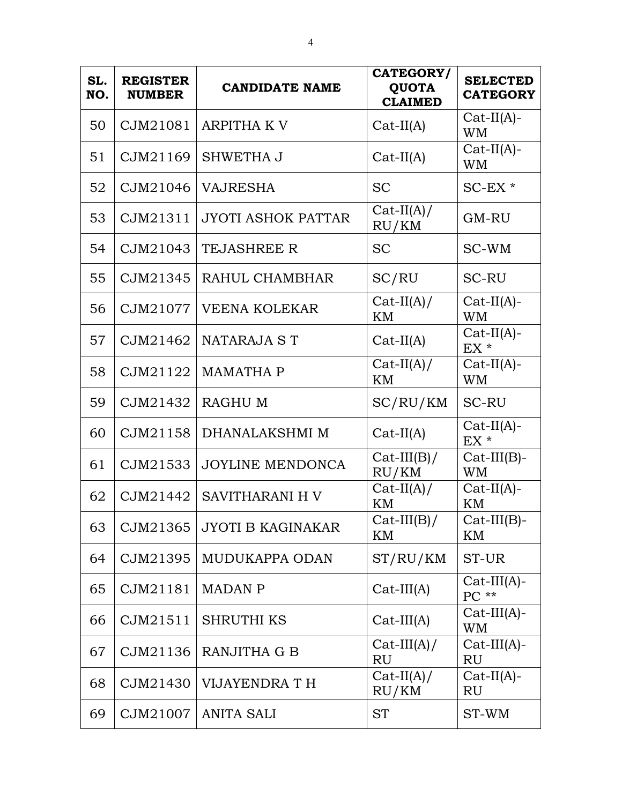| SL.<br>NO. | <b>REGISTER</b><br><b>NUMBER</b> | <b>CANDIDATE NAME</b>     | CATEGORY/<br><b>QUOTA</b><br><b>CLAIMED</b> | <b>SELECTED</b><br><b>CATEGORY</b> |
|------------|----------------------------------|---------------------------|---------------------------------------------|------------------------------------|
| 50         | CJM21081                         | <b>ARPITHA K V</b>        | $Cat-II(A)$                                 | $Cat-II(A)$ -<br><b>WM</b>         |
| 51         | CJM21169                         | SHWETHA J                 | $Cat-II(A)$                                 | $Cat-II(A)$ -<br>WM                |
| 52         | CJM21046                         | <b>VAJRESHA</b>           | <b>SC</b>                                   | $SC$ - $EX$ $*$                    |
| 53         | CJM21311                         | <b>JYOTI ASHOK PATTAR</b> | $Cat-II(A)/$<br>RU/KM                       | GM-RU                              |
| 54         | CJM21043                         | <b>TEJASHREE R</b>        | <b>SC</b>                                   | SC-WM                              |
| 55         | CJM21345                         | RAHUL CHAMBHAR            | SC/RU                                       | <b>SC-RU</b>                       |
| 56         | CJM21077                         | <b>VEENA KOLEKAR</b>      | $Cat-II(A)/$<br>KM                          | $Cat-II(A)$ -<br><b>WM</b>         |
| 57         | CJM21462                         | NATARAJA ST               | $Cat-II(A)$                                 | $Cat-II(A)$ -<br>EX <sup>*</sup>   |
| 58         | CJM21122                         | <b>MAMATHA P</b>          | $Cat-II(A)/$<br>KM                          | $Cat-II(A)$ -<br><b>WM</b>         |
| 59         | CJM21432                         | <b>RAGHU M</b>            | SC/RU/KM                                    | <b>SC-RU</b>                       |
| 60         | CJM21158                         | DHANALAKSHMI M            | $Cat-II(A)$                                 | $Cat-II(A)$ -<br>$EX *$            |
| 61         | CJM21533                         | <b>JOYLINE MENDONCA</b>   | $Cat-III(B)/$<br>RU/KM                      | $Cat-III(B)$ -<br><b>WM</b>        |
| 62         | CJM21442                         | <b>SAVITHARANI H V</b>    | $Cat-II(A)/$<br>KM                          | $Cat-II(A)$ -<br>KM                |
| 63         | CJM21365                         | <b>JYOTI B KAGINAKAR</b>  | $Cat-III(B)/$<br>KM                         | $Cat-III(B)$ -<br>KM               |
| 64         | CJM21395                         | MUDUKAPPA ODAN            | ST/RU/KM                                    | ST-UR                              |
| 65         | CJM21181                         | <b>MADAN P</b>            | $Cat-III(A)$                                | $Cat-III(A)$ -<br>$PC**$           |
| 66         | CJM21511                         | <b>SHRUTHI KS</b>         | $Cat-III(A)$                                | $Cat-III(A)-$<br><b>WM</b>         |
| 67         | CJM21136                         | RANJITHA G B              | $Cat-III(A)/$<br><b>RU</b>                  | $Cat-III(A)-$<br><b>RU</b>         |
| 68         | CJM21430                         | VIJAYENDRA T H            | $Cat-II(A)/$<br>RU/KM                       | $Cat-II(A)$ -<br><b>RU</b>         |
| 69         | CJM21007                         | <b>ANITA SALI</b>         | <b>ST</b>                                   | ST-WM                              |